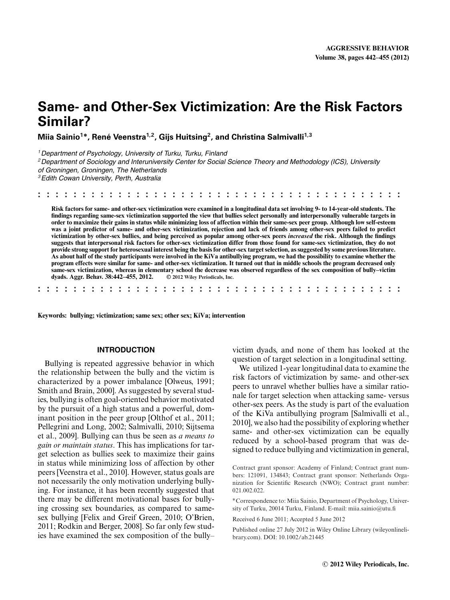# **Same- and Other-Sex Victimization: Are the Risk Factors Similar?**

**Miia Sainio<sup>1</sup>\*, René Veenstra<sup>1,2</sup>, Gijs Huitsing<sup>2</sup>, and Christina Salmivalli<sup>1,3</sup>** 

<sup>1</sup> Department of Psychology, University of Turku, Turku, Finland

<sup>2</sup> Department of Sociology and Interuniversity Center for Social Science Theory and Methodology (ICS), University

of Groningen, Groningen, The Netherlands

 $3$  Edith Cowan University, Perth, Australia

:::::::::::::::::::::::::::::::::::::::::

**Risk factors for same- and other-sex victimization were examined in a longitudinal data set involving 9- to 14-year-old students. The findings regarding same-sex victimization supported the view that bullies select personally and interpersonally vulnerable targets in order to maximize their gains in status while minimizing loss of affection within their same-sex peer group. Although low self-esteem was a joint predictor of same- and other-sex victimization, rejection and lack of friends among other-sex peers failed to predict victimization by other-sex bullies, and being perceived as popular among other-sex peers** *increased* **the risk. Although the findings suggests that interpersonal risk factors for other-sex victimization differ from those found for same-sex victimization, they do not provide strong support for heterosexual interest being the basis for other-sex target selection, as suggested by some previous literature. As about half of the study participants were involved in the KiVa antibullying program, we had the possibility to examine whether the program effects were similar for same- and other-sex victimization. It turned out that in middle schools the program decreased only same-sex victimization, whereas in elementary school the decrease was observed regardless of the sex composition of bully–victim dyads. Aggr. Behav. 38:442–455, 2012. <sup>C</sup> 2012 Wiley Periodicals, Inc.**

:::::::::::::::::::::::::::::::::::::::::

**Keywords: bullying; victimization; same sex; other sex; KiVa; intervention**

#### **INTRODUCTION**

Bullying is repeated aggressive behavior in which the relationship between the bully and the victim is characterized by a power imbalance [Olweus, 1991; Smith and Brain, 2000]. As suggested by several studies, bullying is often goal-oriented behavior motivated by the pursuit of a high status and a powerful, dominant position in the peer group [Olthof et al., 2011; Pellegrini and Long, 2002; Salmivalli, 2010; Sijtsema et al., 2009]. Bullying can thus be seen as *a means to gain or maintain status*. This has implications for target selection as bullies seek to maximize their gains in status while minimizing loss of affection by other peers [Veenstra et al., 2010]. However, status goals are not necessarily the only motivation underlying bullying. For instance, it has been recently suggested that there may be different motivational bases for bullying crossing sex boundaries, as compared to samesex bullying [Felix and Greif Green, 2010; O'Brien, 2011; Rodkin and Berger, 2008]. So far only few studies have examined the sex composition of the bully–

victim dyads, and none of them has looked at the question of target selection in a longitudinal setting.

We utilized 1-year longitudinal data to examine the risk factors of victimization by same- and other-sex peers to unravel whether bullies have a similar rationale for target selection when attacking same- versus other-sex peers. As the study is part of the evaluation of the KiVa antibullying program [Salmivalli et al., 2010], we also had the possibility of exploring whether same- and other-sex victimization can be equally reduced by a school-based program that was designed to reduce bullying and victimization in general,

Contract grant sponsor: Academy of Finland; Contract grant numbers: 121091, 134843; Contract grant sponsor: Netherlands Organization for Scientific Research (NWO); Contract grant number: 021.002.022.

∗Correspondence to: Miia Sainio, Department of Psychology, University of Turku, 20014 Turku, Finland. E-mail: miia.sainio@utu.fi

Received 6 June 2011; Accepted 5 June 2012

Published online 27 July 2012 in Wiley Online Library (wileyonlinelibrary.com). DOI: 10.1002/ab.21445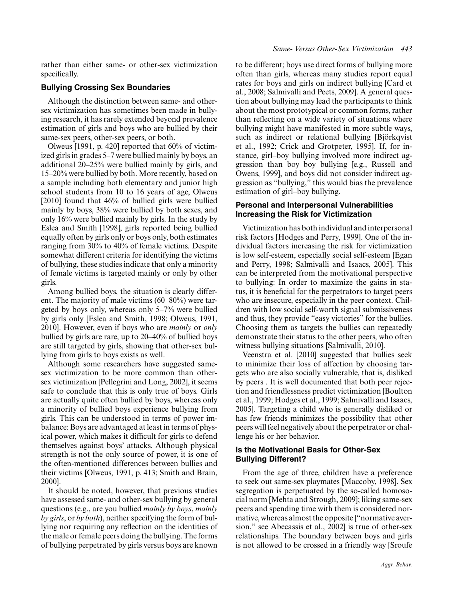rather than either same- or other-sex victimization specifically.

# **Bullying Crossing Sex Boundaries**

Although the distinction between same- and othersex victimization has sometimes been made in bullying research, it has rarely extended beyond prevalence estimation of girls and boys who are bullied by their same-sex peers, other-sex peers, or both.

Olweus [1991, p. 420] reported that 60% of victimized girls in grades 5–7 were bullied mainly by boys, an additional 20–25% were bullied mainly by girls, and 15–20% were bullied by both. More recently, based on a sample including both elementary and junior high school students from 10 to 16 years of age, Olweus [2010] found that 46% of bullied girls were bullied mainly by boys, 38% were bullied by both sexes, and only 16% were bullied mainly by girls. In the study by Eslea and Smith [1998], girls reported being bullied equally often by girls only or boys only, both estimates ranging from 30% to 40% of female victims. Despite somewhat different criteria for identifying the victims of bullying, these studies indicate that only a minority of female victims is targeted mainly or only by other girls.

Among bullied boys, the situation is clearly different. The majority of male victims (60–80%) were targeted by boys only, whereas only 5–7% were bullied by girls only [Eslea and Smith, 1998; Olweus, 1991, 2010]. However, even if boys who are *mainly* or *only* bullied by girls are rare, up to 20–40% of bullied boys are still targeted by girls, showing that other-sex bullying from girls to boys exists as well.

Although some researchers have suggested samesex victimization to be more common than othersex victimization [Pellegrini and Long, 2002], it seems safe to conclude that this is only true of boys. Girls are actually quite often bullied by boys, whereas only a minority of bullied boys experience bullying from girls. This can be understood in terms of power imbalance: Boys are advantaged at least in terms of physical power, which makes it difficult for girls to defend themselves against boys' attacks. Although physical strength is not the only source of power, it is one of the often-mentioned differences between bullies and their victims [Olweus, 1991, p. 413; Smith and Brain, 2000].

It should be noted, however, that previous studies have assessed same- and other-sex bullying by general questions (e.g., are you bullied *mainly by boys*, *mainly by girls*, or *by both*), neither specifying the form of bullying nor requiring any reflection on the identities of the male or female peers doing the bullying. The forms of bullying perpetrated by girls versus boys are known to be different; boys use direct forms of bullying more often than girls, whereas many studies report equal rates for boys and girls on indirect bullying [Card et al., 2008; Salmivalli and Peets, 2009]. A general question about bullying may lead the participants to think about the most prototypical or common forms, rather than reflecting on a wide variety of situations where bullying might have manifested in more subtle ways, such as indirect or relational bullying [Björkqvist] et al., 1992; Crick and Grotpeter, 1995]. If, for instance, girl–boy bullying involved more indirect aggression than boy–boy bullying [e.g., Russell and Owens, 1999], and boys did not consider indirect aggression as "bullying," this would bias the prevalence estimation of girl–boy bullying.

# **Personal and Interpersonal Vulnerabilities Increasing the Risk for Victimization**

Victimization has both individual and interpersonal risk factors [Hodges and Perry, 1999]. One of the individual factors increasing the risk for victimization is low self-esteem, especially social self-esteem [Egan and Perry, 1998; Salmivalli and Isaacs, 2005]. This can be interpreted from the motivational perspective to bullying: In order to maximize the gains in status, it is beneficial for the perpetrators to target peers who are insecure, especially in the peer context. Children with low social self-worth signal submissiveness and thus, they provide "easy victories" for the bullies. Choosing them as targets the bullies can repeatedly demonstrate their status to the other peers, who often witness bullying situations [Salmivalli, 2010].

Veenstra et al. [2010] suggested that bullies seek to minimize their loss of affection by choosing targets who are also socially vulnerable, that is, disliked by peers . It is well documented that both peer rejection and friendlessness predict victimization [Boulton et al., 1999; Hodges et al., 1999; Salmivalli and Isaacs, 2005]. Targeting a child who is generally disliked or has few friends minimizes the possibility that other peers will feel negatively about the perpetrator or challenge his or her behavior.

# **Is the Motivational Basis for Other-Sex Bullying Different?**

From the age of three, children have a preference to seek out same-sex playmates [Maccoby, 1998]. Sex segregation is perpetuated by the so-called homosocial norm [Mehta and Strough, 2009]; liking same-sex peers and spending time with them is considered normative, whereas almost the opposite ["normative aversion," see Abecassis et al., 2002] is true of other-sex relationships. The boundary between boys and girls is not allowed to be crossed in a friendly way [Sroufe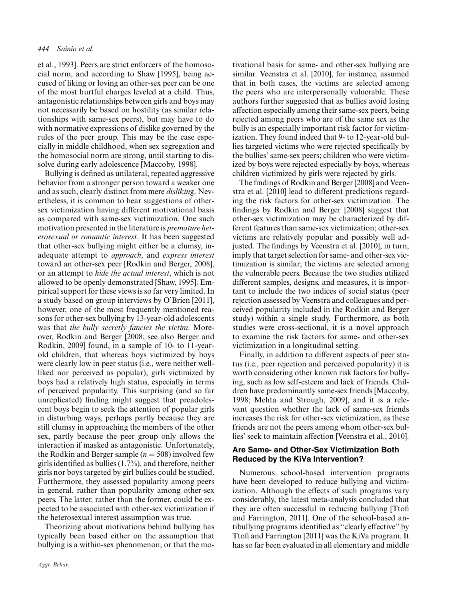et al., 1993]. Peers are strict enforcers of the homosocial norm, and according to Shaw [1995], being accused of liking or loving an other-sex peer can be one of the most hurtful charges leveled at a child. Thus, antagonistic relationships between girls and boys may not necessarily be based on hostility (as similar relationships with same-sex peers), but may have to do with normative expressions of dislike governed by the rules of the peer group. This may be the case especially in middle childhood, when sex segregation and the homosocial norm are strong, until starting to dissolve during early adolescence [Maccoby, 1998].

Bullying is defined as unilateral, repeated aggressive behavior from a stronger person toward a weaker one and as such, clearly distinct from mere *dislikin*g. Nevertheless, it is common to hear suggestions of othersex victimization having different motivational basis as compared with same-sex victimization. One such motivation presented in the literature is *premature heterosexual or romantic interest*. It has been suggested that other-sex bullying might either be a clumsy, inadequate attempt to *approach*, and *express interest* toward an other-sex peer [Rodkin and Berger, 2008], or an attempt to *hide the actual interest*, which is not allowed to be openly demonstrated [Shaw, 1995]. Empirical support for these views is so far very limited. In a study based on group interviews by O'Brien [2011], however, one of the most frequently mentioned reasons for other-sex bullying by 13-year-old adolescents was that *the bully secretly fancies the victim*. Moreover, Rodkin and Berger [2008; see also Berger and Rodkin, 2009] found, in a sample of 10- to 11-yearold children, that whereas boys victimized by boys were clearly low in peer status (i.e., were neither wellliked nor perceived as popular), girls victimized by boys had a relatively high status, especially in terms of perceived popularity. This surprising (and so far unreplicated) finding might suggest that preadolescent boys begin to seek the attention of popular girls in disturbing ways, perhaps partly because they are still clumsy in approaching the members of the other sex, partly because the peer group only allows the interaction if masked as antagonistic. Unfortunately, the Rodkin and Berger sample  $(n = 508)$  involved few girls identified as bullies (1.7%), and therefore, neither girls nor boys targeted by girl bullies could be studied. Furthermore, they assessed popularity among peers in general, rather than popularity among other-sex peers. The latter, rather than the former, could be expected to be associated with other-sex victimization if the heterosexual interest assumption was true.

Theorizing about motivations behind bullying has typically been based either on the assumption that bullying is a within-sex phenomenon, or that the motivational basis for same- and other-sex bullying are similar. Veenstra et al. [2010], for instance, assumed that in both cases, the victims are selected among the peers who are interpersonally vulnerable. These authors further suggested that as bullies avoid losing affection especially among their same-sex peers, being rejected among peers who are of the same sex as the bully is an especially important risk factor for victimization. They found indeed that 9- to 12-year-old bullies targeted victims who were rejected specifically by the bullies' same-sex peers; children who were victimized by boys were rejected especially by boys, whereas children victimized by girls were rejected by girls.

The findings of Rodkin and Berger [2008] and Veenstra et al. [2010] lead to different predictions regarding the risk factors for other-sex victimization. The findings by Rodkin and Berger [2008] suggest that other-sex victimization may be characterized by different features than same-sex victimization; other-sex victims are relatively popular and possibly well adjusted. The findings by Veenstra et al. [2010], in turn, imply that target selection for same- and other-sex victimization is similar; the victims are selected among the vulnerable peers. Because the two studies utilized different samples, designs, and measures, it is important to include the two indices of social status (peer rejection assessed by Veenstra and colleagues and perceived popularity included in the Rodkin and Berger study) within a single study. Furthermore, as both studies were cross-sectional, it is a novel approach to examine the risk factors for same- and other-sex victimization in a longitudinal setting.

Finally, in addition to different aspects of peer status (i.e., peer rejection and perceived popularity) it is worth considering other known risk factors for bullying, such as low self-esteem and lack of friends. Children have predominantly same-sex friends [Maccoby, 1998; Mehta and Strough, 2009], and it is a relevant question whether the lack of same-sex friends increases the risk for other-sex victimization, as these friends are not the peers among whom other-sex bullies' seek to maintain affection [Veenstra et al., 2010].

#### **Are Same- and Other-Sex Victimization Both Reduced by the KiVa Intervention?**

Numerous school-based intervention programs have been developed to reduce bullying and victimization. Although the effects of such programs vary considerably, the latest meta-analysis concluded that they are often successful in reducing bullying [Ttofi and Farrington, 2011]. One of the school-based antibullying programs identified as "clearly effective" by Ttofi and Farrington [2011] was the KiVa program. It has so far been evaluated in all elementary and middle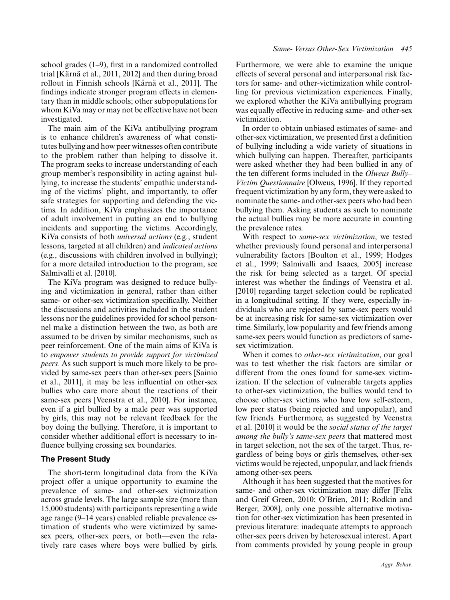school grades (1–9), first in a randomized controlled trial [K $\ddot{a}$ rn $\ddot{a}$  et al., 2011, 2012] and then during broad rollout in Finnish schools [Kärnä et al., 2011]. The findings indicate stronger program effects in elementary than in middle schools; other subpopulations for whom KiVa may or may not be effective have not been investigated.

The main aim of the KiVa antibullying program is to enhance children's awareness of what constitutes bullying and how peer witnesses often contribute to the problem rather than helping to dissolve it. The program seeks to increase understanding of each group member's responsibility in acting against bullying, to increase the students' empathic understanding of the victims' plight, and importantly, to offer safe strategies for supporting and defending the victims. In addition, KiVa emphasizes the importance of adult involvement in putting an end to bullying incidents and supporting the victims. Accordingly, KiVa consists of both *universal actions* (e.g., student lessons, targeted at all children) and *indicated actions* (e.g., discussions with children involved in bullying); for a more detailed introduction to the program, see Salmivalli et al. [2010].

The KiVa program was designed to reduce bullying and victimization in general, rather than either same- or other-sex victimization specifically. Neither the discussions and activities included in the student lessons nor the guidelines provided for school personnel make a distinction between the two, as both are assumed to be driven by similar mechanisms, such as peer reinforcement. One of the main aims of KiVa is to *empower students to provide support for victimized peers.* As such support is much more likely to be provided by same-sex peers than other-sex peers [Sainio et al., 2011], it may be less influential on other-sex bullies who care more about the reactions of their same-sex peers [Veenstra et al., 2010]. For instance, even if a girl bullied by a male peer was supported by girls, this may not be relevant feedback for the boy doing the bullying. Therefore, it is important to consider whether additional effort is necessary to influence bullying crossing sex boundaries.

# **The Present Study**

The short-term longitudinal data from the KiVa project offer a unique opportunity to examine the prevalence of same- and other-sex victimization across grade levels. The large sample size (more than 15,000 students) with participants representing a wide age range (9–14 years) enabled reliable prevalence estimation of students who were victimized by samesex peers, other-sex peers, or both—even the relatively rare cases where boys were bullied by girls. Furthermore, we were able to examine the unique effects of several personal and interpersonal risk factors for same- and other-victimization while controlling for previous victimization experiences. Finally, we explored whether the KiVa antibullying program was equally effective in reducing same- and other-sex victimization.

In order to obtain unbiased estimates of same- and other-sex victimization, we presented first a definition of bullying including a wide variety of situations in which bullying can happen. Thereafter, participants were asked whether they had been bullied in any of the ten different forms included in the *Olweus Bully– Victim Questionnaire* [Olweus, 1996]. If they reported frequent victimization by any form, they were asked to nominate the same- and other-sex peers who had been bullying them. Asking students as such to nominate the actual bullies may be more accurate in counting the prevalence rates.

With respect to *same-sex victimization*, we tested whether previously found personal and interpersonal vulnerability factors [Boulton et al., 1999; Hodges et al., 1999; Salmivalli and Isaacs, 2005] increase the risk for being selected as a target. Of special interest was whether the findings of Veenstra et al. [2010] regarding target selection could be replicated in a longitudinal setting. If they were, especially individuals who are rejected by same-sex peers would be at increasing risk for same-sex victimization over time. Similarly, low popularity and few friends among same-sex peers would function as predictors of samesex victimization.

When it comes to *other-sex victimization*, our goal was to test whether the risk factors are similar or different from the ones found for same-sex victimization. If the selection of vulnerable targets applies to other-sex victimization, the bullies would tend to choose other-sex victims who have low self-esteem, low peer status (being rejected and unpopular), and few friends. Furthermore, as suggested by Veenstra et al. [2010] it would be the *social status of the target among the bully's same-sex peers* that mattered most in target selection, not the sex of the target. Thus, regardless of being boys or girls themselves, other-sex victims would be rejected, unpopular, and lack friends among other-sex peers.

Although it has been suggested that the motives for same- and other-sex victimization may differ [Felix and Greif Green, 2010; O'Brien, 2011; Rodkin and Berger, 2008], only one possible alternative motivation for other-sex victimization has been presented in previous literature: inadequate attempts to approach other-sex peers driven by heterosexual interest. Apart from comments provided by young people in group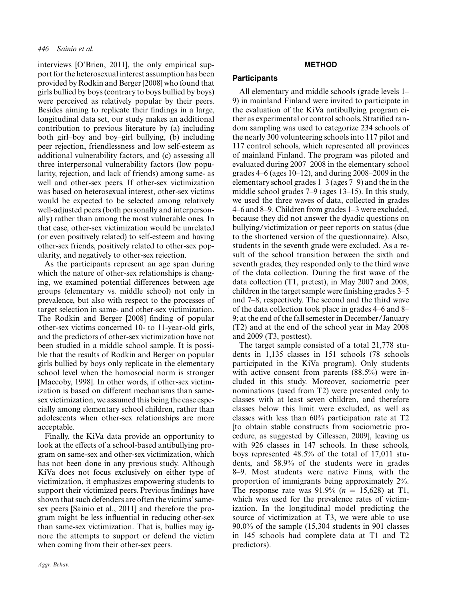interviews [O'Brien, 2011], the only empirical support for the heterosexual interest assumption has been provided by Rodkin and Berger [2008] who found that girls bullied by boys (contrary to boys bullied by boys) were perceived as relatively popular by their peers. Besides aiming to replicate their findings in a large, longitudinal data set, our study makes an additional contribution to previous literature by (a) including both girl–boy and boy–girl bullying, (b) including peer rejection, friendlessness and low self-esteem as additional vulnerability factors, and (c) assessing all three interpersonal vulnerability factors (low popularity, rejection, and lack of friends) among same- as well and other-sex peers. If other-sex victimization was based on heterosexual interest, other-sex victims would be expected to be selected among relatively well-adjusted peers (both personally and interpersonally) rather than among the most vulnerable ones. In that case, other-sex victimization would be unrelated (or even positively related) to self-esteem and having other-sex friends, positively related to other-sex popularity, and negatively to other-sex rejection.

As the participants represent an age span during which the nature of other-sex relationships is changing, we examined potential differences between age groups (elementary vs. middle school) not only in prevalence, but also with respect to the processes of target selection in same- and other-sex victimization. The Rodkin and Berger [2008] finding of popular other-sex victims concerned 10- to 11-year-old girls, and the predictors of other-sex victimization have not been studied in a middle school sample. It is possible that the results of Rodkin and Berger on popular girls bullied by boys only replicate in the elementary school level when the homosocial norm is stronger [Maccoby, 1998]. In other words, if other-sex victimization is based on different mechanisms than samesex victimization, we assumed this being the case especially among elementary school children, rather than adolescents when other-sex relationships are more acceptable.

Finally, the KiVa data provide an opportunity to look at the effects of a school-based antibullying program on same-sex and other-sex victimization, which has not been done in any previous study. Although KiVa does not focus exclusively on either type of victimization, it emphasizes empowering students to support their victimized peers. Previous findings have shown that such defenders are often the victims' samesex peers [Sainio et al., 2011] and therefore the program might be less influential in reducing other-sex than same-sex victimization. That is, bullies may ignore the attempts to support or defend the victim when coming from their other-sex peers.

# **METHOD**

# **Participants**

All elementary and middle schools (grade levels 1– 9) in mainland Finland were invited to participate in the evaluation of the KiVa antibullying program either as experimental or control schools. Stratified random sampling was used to categorize 234 schools of the nearly 300 volunteering schools into 117 pilot and 117 control schools, which represented all provinces of mainland Finland. The program was piloted and evaluated during 2007–2008 in the elementary school grades  $4-6$  (ages 10–12), and during 2008–2009 in the elementary school grades 1–3 (ages 7–9) and the in the middle school grades 7–9 (ages 13–15). In this study, we used the three waves of data, collected in grades 4–6 and 8–9. Children from grades 1–3 were excluded, because they did not answer the dyadic questions on bullying/victimization or peer reports on status (due to the shortened version of the questionnaire). Also, students in the seventh grade were excluded. As a result of the school transition between the sixth and seventh grades, they responded only to the third wave of the data collection. During the first wave of the data collection (T1, pretest), in May 2007 and 2008, children in the target sample were finishing grades 3–5 and 7–8, respectively. The second and the third wave of the data collection took place in grades 4–6 and 8– 9; at the end of the fall semester in December/January (T2) and at the end of the school year in May 2008 and 2009 (T3, posttest).

The target sample consisted of a total 21,778 students in 1,135 classes in 151 schools (78 schools participated in the KiVa program). Only students with active consent from parents (88.5%) were included in this study. Moreover, sociometric peer nominations (used from T2) were presented only to classes with at least seven children, and therefore classes below this limit were excluded, as well as classes with less than 60% participation rate at T2 [to obtain stable constructs from sociometric procedure, as suggested by Cillessen, 2009], leaving us with 926 classes in 147 schools. In these schools, boys represented 48.5% of the total of 17,011 students, and 58.9% of the students were in grades 8–9. Most students were native Finns, with the proportion of immigrants being approximately 2%. The response rate was  $91.9\%$  ( $n = 15,628$ ) at T1, which was used for the prevalence rates of victimization. In the longitudinal model predicting the source of victimization at T3, we were able to use 90.0% of the sample (15,304 students in 901 classes in 145 schools had complete data at T1 and T2 predictors).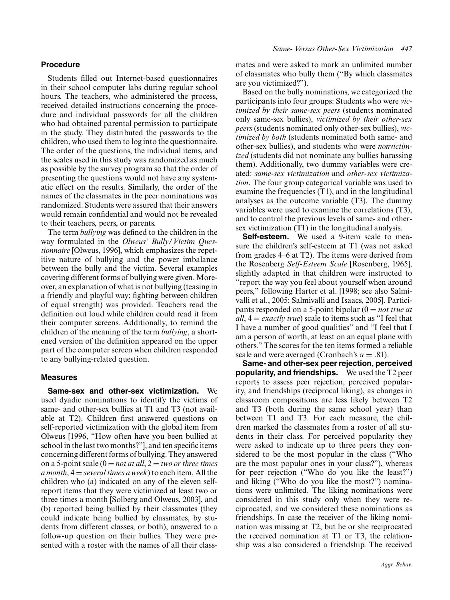# **Procedure**

Students filled out Internet-based questionnaires in their school computer labs during regular school hours. The teachers, who administered the process, received detailed instructions concerning the procedure and individual passwords for all the children who had obtained parental permission to participate in the study. They distributed the passwords to the children, who used them to log into the questionnaire. The order of the questions, the individual items, and the scales used in this study was randomized as much as possible by the survey program so that the order of presenting the questions would not have any systematic effect on the results. Similarly, the order of the names of the classmates in the peer nominations was randomized. Students were assured that their answers would remain confidential and would not be revealed to their teachers, peers, or parents.

The term *bullying* was defined to the children in the way formulated in the *Olweus' Bully/Victim Questionnaire* [Olweus, 1996], which emphasizes the repetitive nature of bullying and the power imbalance between the bully and the victim. Several examples covering different forms of bullying were given. Moreover, an explanation of what is not bullying (teasing in a friendly and playful way; fighting between children of equal strength) was provided. Teachers read the definition out loud while children could read it from their computer screens. Additionally, to remind the children of the meaning of the term *bullying*, a shortened version of the definition appeared on the upper part of the computer screen when children responded to any bullying-related question.

#### **Measures**

**Same-sex and other-sex victimization.** We used dyadic nominations to identify the victims of same- and other-sex bullies at T1 and T3 (not available at T2). Children first answered questions on self-reported victimization with the global item from Olweus [1996, "How often have you been bullied at school in the last two months?"], and ten specific items concerning different forms of bullying. They answered on a 5-point scale  $(0 = not at all, 2 = two or three times)$ *a month*, 4 = *several times a week*) to each item. All the children who (a) indicated on any of the eleven selfreport items that they were victimized at least two or three times a month [Solberg and Olweus, 2003], and (b) reported being bullied by their classmates (they could indicate being bullied by classmates, by students from different classes, or both), answered to a follow-up question on their bullies. They were presented with a roster with the names of all their classmates and were asked to mark an unlimited number of classmates who bully them ("By which classmates are you victimized?").

Based on the bully nominations, we categorized the participants into four groups: Students who were *victimized by their same-sex peers* (students nominated only same-sex bullies), *victimized by their other-sex peers* (students nominated only other-sex bullies), *victimized by both* (students nominated both same- and other-sex bullies), and students who were *nonvictimized* (students did not nominate any bullies harassing them). Additionally, two dummy variables were created: *same-sex victimization* and *other-sex victimization*. The four group categorical variable was used to examine the frequencies (T1), and in the longitudinal analyses as the outcome variable (T3). The dummy variables were used to examine the correlations (T3), and to control the previous levels of same- and othersex victimization (T1) in the longitudinal analysis.

**Self-esteem.** We used a 9-item scale to measure the children's self-esteem at T1 (was not asked from grades 4–6 at T2). The items were derived from the Rosenberg *Self-Esteem Scale* [Rosenberg, 1965], slightly adapted in that children were instructed to "report the way you feel about yourself when around peers," following Harter et al. [1998; see also Salmivalli et al., 2005; Salmivalli and Isaacs, 2005]. Participants responded on a 5-point bipolar (0 = *not true at all*, 4 = *exactly true*) scale to items such as "I feel that I have a number of good qualities" and "I feel that I am a person of worth, at least on an equal plane with others." The scores for the ten items formed a reliable scale and were averaged (Cronbach's  $\alpha = .81$ ).

**Same- and other-sex peer rejection, perceived popularity, and friendships.** We used the T2 peer reports to assess peer rejection, perceived popularity, and friendships (reciprocal liking), as changes in classroom compositions are less likely between T2 and T3 (both during the same school year) than between T1 and T3. For each measure, the children marked the classmates from a roster of all students in their class. For perceived popularity they were asked to indicate up to three peers they considered to be the most popular in the class ("Who are the most popular ones in your class?"), whereas for peer rejection ("Who do you like the least?") and liking ("Who do you like the most?") nominations were unlimited. The liking nominations were considered in this study only when they were reciprocated, and we considered these nominations as friendships. In case the receiver of the liking nomination was missing at T2, but he or she reciprocated the received nomination at T1 or T3, the relationship was also considered a friendship. The received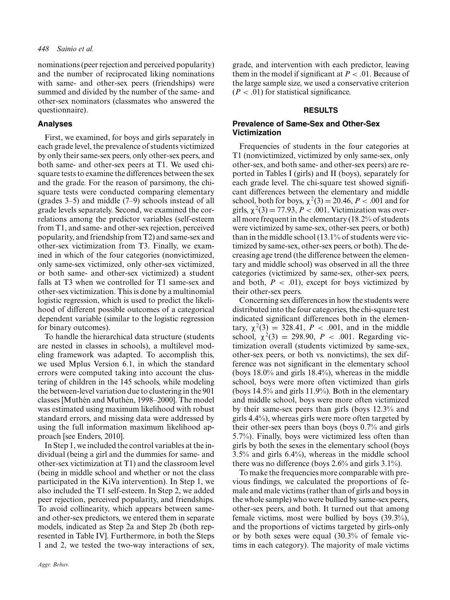nominations (peer rejection and perceived popularity) and the number of reciprocated liking nominations with same- and other-sex peers (friendships) were summed and divided by the number of the same- and other-sex nominators (classmates who answered the questionnaire).

## **Analyses**

First, we examined, for boys and girls separately in each grade level, the prevalence of students victimized by only their same-sex peers, only other-sex peers, and both same- and other-sex peers at T1. We used chisquare tests to examine the differences between the sex and the grade. For the reason of parsimony, the chisquare tests were conducted comparing elementary (grades 3–5) and middle (7–9) schools instead of all grade levels separately. Second, we examined the correlations among the predictor variables (self-esteem from T1, and same- and other-sex rejection, perceived popularity, and friendship from T2) and same-sex and other-sex victimization from T3. Finally, we examined in which of the four categories (nonvictimized, only same-sex victimized, only other-sex victimized, or both same- and other-sex victimized) a student falls at T3 when we controlled for T1 same-sex and other-sex victimization. This is done by a multinomial logistic regression, which is used to predict the likelihood of different possible outcomes of a categorical dependent variable (similar to the logistic regression for binary outcomes).

To handle the hierarchical data structure (students are nested in classes in schools), a multilevel modeling framework was adapted. To accomplish this, we used Mplus Version 6.1, in which the standard errors were computed taking into account the clustering of children in the 145 schools, while modeling the between-level variation due to clustering in the 901 classes [Muthén and Muthén, 1998–2000]. The model was estimated using maximum likelihood with robust standard errors, and missing data were addressed by using the full information maximum likelihood approach [see Enders, 2010].

In Step 1, we included the control variables at the individual (being a girl and the dummies for same- and other-sex victimization at T1) and the classroom level (being in middle school and whether or not the class participated in the KiVa intervention). In Step 1, we also included the T1 self-esteem. In Step 2, we added peer rejection, perceived popularity, and friendships. To avoid collinearity, which appears between sameand other-sex predictors, we entered them in separate models, indicated as Step 2a and Step 2b (both represented in Table IV]. Furthermore, in both the Steps 1 and 2, we tested the two-way interactions of sex, grade, and intervention with each predictor, leaving them in the model if significant at  $P < .01$ . Because of the large sample size, we used a conservative criterion  $(P < .01)$  for statistical significance.

#### **RESULTS**

## **Prevalence of Same-Sex and Other-Sex Victimization**

Frequencies of students in the four categories at T1 (nonvictimized, victimized by only same-sex, only other-sex, and both same- and other-sex peers) are reported in Tables I (girls) and II (boys), separately for each grade level. The chi-square test showed significant differences between the elementary and middle school, both for boys,  $\chi^2(3) = 20.46$ ,  $P < .001$  and for girls,  $\chi^2(3) = 77.93$ ,  $P < .001$ . Victimization was overall more frequent in the elementary (18.2% of students were victimized by same-sex, other-sex peers, or both) than in the middle school (13.1% of students were victimized by same-sex, other-sex peers, or both). The decreasing age trend (the difference between the elementary and middle school) was observed in all the three categories (victimized by same-sex, other-sex peers, and both,  $P < .01$ ), except for boys victimized by their other-sex peers.

Concerning sex differences in how the students were distributed into the four categories, the chi-square test indicated significant differences both in the elementary,  $\chi^2(3) = 328.41$ ,  $P < .001$ , and in the middle school,  $\chi^2(3) = 298.90$ ,  $P < .001$ . Regarding victimization overall (students victimized by same-sex, other-sex peers, or both vs. nonvictims), the sex difference was not significant in the elementary school (boys 18.0% and girls 18.4%), whereas in the middle school, boys were more often victimized than girls (boys 14.5% and girls 11.9%). Both in the elementary and middle school, boys were more often victimized by their same-sex peers than girls (boys 12.3% and girls 4.4%), whereas girls were more often targeted by their other-sex peers than boys (boys 0.7% and girls 5.7%). Finally, boys were victimized less often than girls by both the sexes in the elementary school (boys 3.5% and girls 6.4%), whereas in the middle school there was no difference (boys  $2.6\%$  and girls  $3.1\%$ ).

To make the frequencies more comparable with previous findings, we calculated the proportions of female and male victims (rather than of girls and boys in the whole sample) who were bullied by same-sex peers, other-sex peers, and both. It turned out that among female victims, most were bullied by boys (39.3%), and the proportions of victims targeted by girls-only or by both sexes were equal (30.3% of female victims in each category). The majority of male victims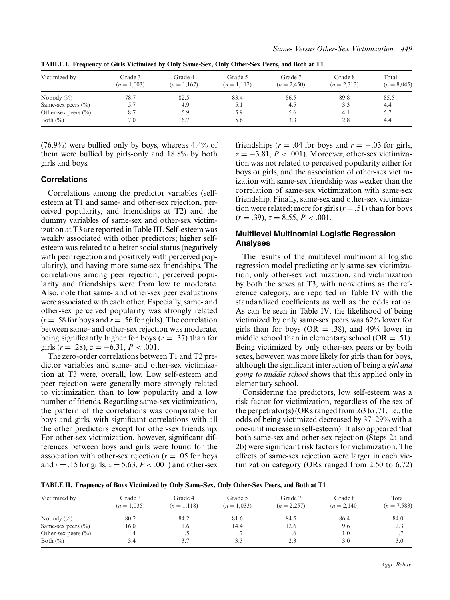| Victimized by           | Grade 3<br>$(n=1,003)$ | Grade 4<br>$(n=1,167)$ | Grade 5<br>$(n=1,112)$ | Grade 7<br>$(n = 2,450)$ | Grade 8<br>$(n = 2,313)$ | Total<br>$(n = 8,045)$ |
|-------------------------|------------------------|------------------------|------------------------|--------------------------|--------------------------|------------------------|
| Nobody $(\%)$           | 78.7                   | 82.5                   | 83.4                   | 86.5                     | 89.8                     | 85.5                   |
| Same-sex peers $(\% )$  | 5.7                    | 4.9                    | 5.1                    | 4.5                      | 3.3                      | 4.4                    |
| Other-sex peers $(\% )$ | 8.7                    | 5.9                    | 5.9                    | 5.6                      | 4.1                      | 5.7                    |
| Both $(\%)$             | 7.0                    | 6.7                    | 5.6                    | 3.3                      | 2.8                      | 4.4                    |

**TABLE I. Frequency of Girls Victimized by Only Same-Sex, Only Other-Sex Peers, and Both at T1**

(76.9%) were bullied only by boys, whereas 4.4% of them were bullied by girls-only and 18.8% by both girls and boys.

# **Correlations**

Correlations among the predictor variables (selfesteem at T1 and same- and other-sex rejection, perceived popularity, and friendships at T2) and the dummy variables of same-sex and other-sex victimization at T3 are reported in Table III. Self-esteem was weakly associated with other predictors; higher selfesteem was related to a better social status (negatively with peer rejection and positively with perceived popularity), and having more same-sex friendships. The correlations among peer rejection, perceived popularity and friendships were from low to moderate. Also, note that same- and other-sex peer evaluations were associated with each other. Especially, same- and other-sex perceived popularity was strongly related  $(r = .58$  for boys and  $r = .56$  for girls). The correlation between same- and other-sex rejection was moderate, being significantly higher for boys  $(r = .37)$  than for girls  $(r = .28)$ ,  $z = -6.31$ ,  $P < .001$ .

The zero-order correlations between T1 and T2 predictor variables and same- and other-sex victimization at T3 were, overall, low. Low self-esteem and peer rejection were generally more strongly related to victimization than to low popularity and a low number of friends. Regarding same-sex victimization, the pattern of the correlations was comparable for boys and girls, with significant correlations with all the other predictors except for other-sex friendship. For other-sex victimization, however, significant differences between boys and girls were found for the association with other-sex rejection  $(r = .05$  for boys and  $r = .15$  for girls,  $z = 5.63$ ,  $P < .001$ ) and other-sex friendships ( $r = .04$  for boys and  $r = -.03$  for girls,  $z = -3.81, P < .001$ ). Moreover, other-sex victimization was not related to perceived popularity either for boys or girls, and the association of other-sex victimization with same-sex friendship was weaker than the correlation of same-sex victimization with same-sex friendship. Finally, same-sex and other-sex victimization were related; more for girls  $(r = .51)$  than for boys  $(r = .39), z = 8.55, P < .001.$ 

# **Multilevel Multinomial Logistic Regression Analyses**

The results of the multilevel multinomial logistic regression model predicting only same-sex victimization, only other-sex victimization, and victimization by both the sexes at T3, with nonvictims as the reference category, are reported in Table IV with the standardized coefficients as well as the odds ratios. As can be seen in Table IV, the likelihood of being victimized by only same-sex peers was 62% lower for girls than for boys ( $OR = .38$ ), and 49% lower in middle school than in elementary school ( $OR = .51$ ). Being victimized by only other-sex peers or by both sexes, however, was more likely for girls than for boys, although the significant interaction of being a *girl and going to middle school* shows that this applied only in elementary school.

Considering the predictors, low self-esteem was a risk factor for victimization, regardless of the sex of the perpetrator(s) (ORs ranged from .63 to .71, i.e., the odds of being victimized decreased by 37–29% with a one-unit increase in self-esteem). It also appeared that both same-sex and other-sex rejection (Steps 2a and 2b) were significant risk factors for victimization. The effects of same-sex rejection were larger in each victimization category (ORs ranged from 2.50 to 6.72)

**TABLE II. Frequency of Boys Victimized by Only Same-Sex, Only Other-Sex Peers, and Both at T1**

| Victimized by           | Grade 3<br>$(n=1.035)$ | Grade 4<br>$(n=1,118)$ | Grade 5<br>$(n=1.033)$ | Grade 7<br>$(n = 2,257)$ | Grade 8<br>$(n = 2,140)$ | Total<br>$(n = 7,583)$ |
|-------------------------|------------------------|------------------------|------------------------|--------------------------|--------------------------|------------------------|
| Nobody $(\%)$           | 80.2                   | 84.2                   | 81.6                   | 84.5                     | 86.4                     | 84.0                   |
| Same-sex peers $(\% )$  | 16.0                   | 11.6                   | 14.4                   | 12.6                     | 9.6                      | 12.3                   |
| Other-sex peers $(\% )$ | .4                     | ت ہ                    |                        |                          | 1.0                      |                        |
| Both $(\%)$             | 3.4                    | 3.7                    | 3.3                    | 2.3                      | 3.0                      | 3.0                    |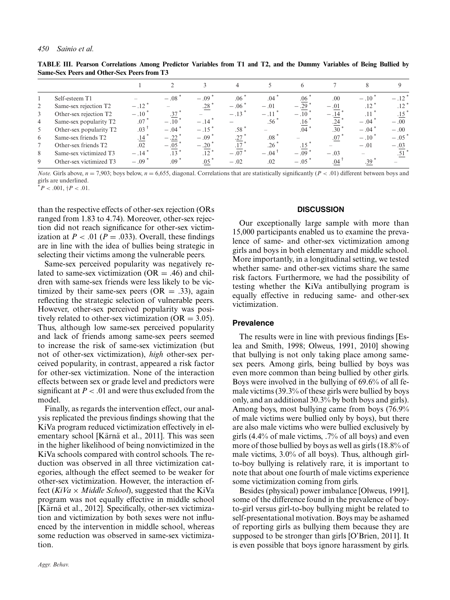#### *450 Sainio et al.*

|                |                         |                     |                     |                                 |                     |                      | 6                |        | 8                   |                     |
|----------------|-------------------------|---------------------|---------------------|---------------------------------|---------------------|----------------------|------------------|--------|---------------------|---------------------|
|                | Self-esteem T1          |                     | $-.08*$             | $-.09$                          | .06                 | .04                  | .06 <sup>2</sup> | .00.   | $-.10$              | $-.12$              |
| 2              | Same-sex rejection T2   | $-.12$ <sup>'</sup> |                     | .28                             | $-.06$              | $-.01$               | $-.29$           |        | .12                 | .12                 |
| $\overline{3}$ | Other-sex rejection T2  | $-.10$              | .37                 |                                 | $-.13$ <sup>*</sup> | $-.11$ $\degree$     | $-.10$           |        | $.11$ <sup>*</sup>  | .15"                |
| $\overline{4}$ | Same-sex popularity T2  | $.07*$              | $-.10$              | $-.14$                          |                     | $.56*$               | $.16*$           | .24    | $-.04$ <sup>*</sup> | $-.00$              |
| 5              | Other-sex popularity T2 | .03 <sup>°</sup>    | $-.04$ <sup>*</sup> | $-.15$ <sup>*</sup>             | $.58^{\degree}$     |                      | .04              | .30    | $-.04$ <sup>*</sup> | $-.00$              |
| 6              | Same-sex friends T2     | .14                 | $-.22"$             | $-.09$ <sup>'</sup>             | 27'                 | .08 <sup>3</sup>     |                  | $.07*$ | $-.103$             | $-.05$ <sup>*</sup> |
| 7              | Other-sex friends T2    | .02                 | $-.05$              | .20<br>$\overline{\phantom{0}}$ | .17                 | $.26*$               | .15              |        | $-.01$              | $-.03$              |
| 8              | Same-sex victimized T3  | $-.14$ <sup>*</sup> | $.13*$              | $.12*$                          | $-.07*$             | $-.04$ <sup>-1</sup> | $-.09$           | $-.03$ |                     | .51                 |
| 9              | Other-sex victimized T3 | $-.09$              | $.09*$              | $.05*$                          | $-.02$              | .02                  | $-.05$           | .04    | .39                 |                     |
|                |                         |                     |                     |                                 |                     |                      |                  |        |                     |                     |

**TABLE III. Pearson Correlations Among Predictor Variables from T1 and T2, and the Dummy Variables of Being Bullied by Same-Sex Peers and Other-Sex Peers from T3**

*Note.* Girls above,  $n = 7,903$ ; boys below,  $n = 6,655$ , diagonal. Correlations that are statistically significantly ( $P < .01$ ) different between boys and girls are underlined.

 $^{4}P < .001, \frac{1}{7}P < .01.$ 

than the respective effects of other-sex rejection (ORs ranged from 1.83 to 4.74). Moreover, other-sex rejection did not reach significance for other-sex victimization at  $P < .01$  ( $P = .033$ ). Overall, these findings are in line with the idea of bullies being strategic in selecting their victims among the vulnerable peers.

Same-sex perceived popularity was negatively related to same-sex victimization  $(OR = .46)$  and children with same-sex friends were less likely to be victimized by their same-sex peers  $(OR = .33)$ , again reflecting the strategic selection of vulnerable peers. However, other-sex perceived popularity was positively related to other-sex victimization ( $OR = 3.05$ ). Thus, although low same-sex perceived popularity and lack of friends among same-sex peers seemed to increase the risk of same-sex victimization (but not of other-sex victimization), *high* other-sex perceived popularity, in contrast, appeared a risk factor for other-sex victimization. None of the interaction effects between sex or grade level and predictors were significant at  $P < 0.01$  and were thus excluded from the model.

Finally, as regards the intervention effect, our analysis replicated the previous findings showing that the KiVa program reduced victimization effectively in elementary school [Kärnä et al., 2011]. This was seen in the higher likelihood of being nonvictimized in the KiVa schools compared with control schools. The reduction was observed in all three victimization categories, although the effect seemed to be weaker for other-sex victimization. However, the interaction effect (*KiVa* × *Middle School*), suggested that the KiVa program was not equally effective in middle school [Kärnä et al., 2012]. Specifically, other-sex victimization and victimization by both sexes were not influenced by the intervention in middle school, whereas some reduction was observed in same-sex victimization.

#### **DISCUSSION**

Our exceptionally large sample with more than 15,000 participants enabled us to examine the prevalence of same- and other-sex victimization among girls and boys in both elementary and middle school. More importantly, in a longitudinal setting, we tested whether same- and other-sex victims share the same risk factors. Furthermore, we had the possibility of testing whether the KiVa antibullying program is equally effective in reducing same- and other-sex victimization.

## **Prevalence**

The results were in line with previous findings [Eslea and Smith, 1998; Olweus, 1991, 2010] showing that bullying is not only taking place among samesex peers. Among girls, being bullied by boys was even more common than being bullied by other girls. Boys were involved in the bullying of 69.6% of all female victims (39.3% of these girls were bullied by boys only, and an additional 30.3% by both boys and girls). Among boys, most bullying came from boys (76.9% of male victims were bullied only by boys), but there are also male victims who were bullied exclusively by girls (4.4% of male victims, .7% of all boys) and even more of those bullied by boys as well as girls (18.8% of male victims, 3.0% of all boys). Thus, although girlto-boy bullying is relatively rare, it is important to note that about one fourth of male victims experience some victimization coming from girls.

Besides (physical) power imbalance [Olweus, 1991], some of the difference found in the prevalence of boyto-girl versus girl-to-boy bullying might be related to self-presentational motivation. Boys may be ashamed of reporting girls as bullying them because they are supposed to be stronger than girls [O'Brien, 2011]. It is even possible that boys ignore harassment by girls.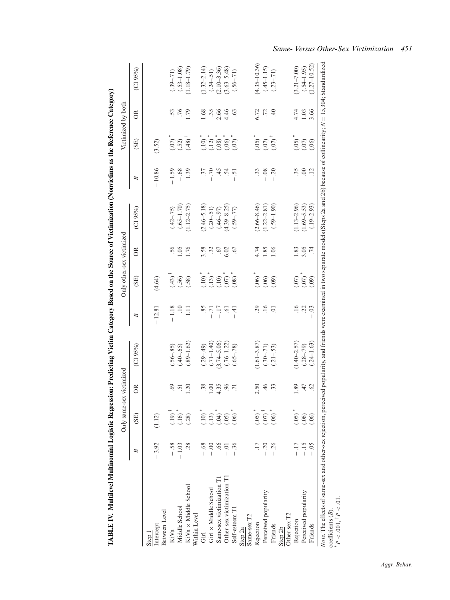|                                                |                 | Only same-sex victimized                                     |                             |                               |                 | Only other-sex victimized |                          |                 |                       |                          | Victimized by both |                  |
|------------------------------------------------|-----------------|--------------------------------------------------------------|-----------------------------|-------------------------------|-----------------|---------------------------|--------------------------|-----------------|-----------------------|--------------------------|--------------------|------------------|
|                                                | B               | (SE)                                                         | $\approx$                   | (C195%)                       | B               | $\overline{\text{SE}}$    | $\approx$                | (C195%)         | B                     | $\overline{\text{}}(SE)$ | $\approx$          | (C195%)          |
| Step 1                                         |                 |                                                              |                             |                               |                 |                           |                          |                 |                       |                          |                    |                  |
| Between Level<br>Intercept                     | $-3.92$         | (1.12)                                                       |                             |                               | $-12.81$        | (4.64)                    |                          |                 | $-10.86$              | (3.52)                   |                    |                  |
| KiVa                                           | $-58$           |                                                              | ⊗                           | $.56 - 85$                    | $-1.18$         | $(43)^{T}$                | 56.                      | $(.42-.75)$     | $-1.59$               | (00)                     | 53                 | $(.39 - .71)$    |
| Middle School                                  | $-1.03$         | $\begin{array}{c} (19)^{1} \\ (16) \\ (-16)^{2} \end{array}$ |                             | $(.40-.65)$                   | $\Xi$           | (56)                      | 0.5                      | $(.65 - 1.70)$  | $-0.68$               | (52)                     | .76                | $(.53-1.08)$     |
| KiVa × Middle School                           | 28              | (.28)                                                        | $\frac{5}{1}$ $\frac{5}{1}$ | $.89 - 1.62$                  | $\Xi$           | (85)                      | 1.76                     | $1.12 - 2.75$   | 1.39                  | (48)                     | 1.79               | $(1.18 - 1.79)$  |
| Within Level                                   |                 |                                                              |                             |                               |                 |                           |                          |                 |                       |                          |                    |                  |
| Ē                                              | $-0.68$         |                                                              | 38.                         | $(.29-.49)$                   | 85              |                           | 3.58                     | $2.46 - 5.18$   | .37                   | (10)                     | 1.68               | $1.32 - 2.14$    |
| Girl × Middle School                           | $-0.00$         |                                                              | $\overline{0}$              | $(.71-1.40)$<br>$(3.74-5.06)$ | $-71$           |                           | $\ddot{v}$               | $(.20-.51)$     | $-70$                 | (12)                     | $\ddot{35}$        | $(.24-.51)$      |
| Same-sex victimization T1                      | .66             |                                                              | 4.35                        |                               | $\overline{17}$ |                           |                          | $(.46 - .97)$   |                       |                          | 2.66               | $(2.10 - 3.36)$  |
| Other-sex victimization T1                     | $-0.01$         |                                                              | 96                          | $(.76 - 1.22)$                | Ğ.              | .<br>3336<br>3336         | $6.\overline{0}$<br>6.02 | $(4.39 - 8.25)$ | $45$<br>$54$          | 885                      | 4.46               | $(3.63 - 5.48)$  |
| Self-esteem T1                                 | $-.36$          |                                                              | E                           | $(.65-.78)$                   | $\overline{4}$  | (80)                      | $\tilde{\circ}$          | $(.59-.77)$     | 51                    |                          | S                  | $(.56-.71)$      |
| Same-sex T <sub>2</sub><br>Step 2a             |                 |                                                              |                             |                               |                 |                           |                          |                 |                       |                          |                    |                  |
| Rejection                                      | $\overline{17}$ |                                                              | 2.50                        | $1.61 - 3.87$                 | 29              | (96)                      | 4.74                     | $(2.66 - 8.46)$ | 33                    | (05)                     | 6.72               | $(4.35 - 10.36)$ |
| Perceived popularity                           | $-20$           | $(0.05)^{*}$                                                 | 46                          | $(.30-.71)$                   | .16             | (06)                      | 1.85                     | $(1.22 - 2.81)$ | 08<br>$\overline{1}$  | (00)                     | $\ddot{z}$         | $(.45-1.15)$     |
| Friends                                        | $-26$           | $(.06)$ *                                                    | 33                          | $(.21 - .53)$                 | $\overline{c}$  | (60)                      | 1.06                     | $(.59-1.90)$    | $\tilde{\mathcal{L}}$ | (00)                     | ਼੍ਰ                | $(.23-.71)$      |
| Other-sex T <sub>2</sub><br>Step <sub>2b</sub> |                 |                                                              |                             |                               |                 |                           |                          |                 |                       |                          |                    |                  |
| Rejection                                      | $-17$           | $(.05)$ <sup>*</sup>                                         | 1.89                        | $(1.40 - 2.57)$               | $\ddot{ }$ .    |                           |                          | $1.13 - 2.96$   | 35                    | (05)                     | 4.74               | $(3.21 - 7.00)$  |
| Perceived popularity                           | $-15$           | (.06)                                                        | 47                          | $(.28-.79)$                   | 22              | SSS.                      | $\frac{1.83}{3.05}$      | $(1.69 - 5.53)$ | $\odot$               | (00)                     | 1.03               | $(.54 - 1.95)$   |
| Friends                                        | $-0.5$          | (.06)                                                        | $\mathcal{O}$               | $(.24 - 1.63)$                | $\overline{0}$  |                           | $\mathbb{F}$             | $(.19-2.93)$    | 12                    | (06)                     | 3.66               | $(1.27 - 10.52)$ |

*Same- Versus Other-Sex Victimization 451*

 ${}^{*}P$  < .001,  ${}^{*}P$  < .01.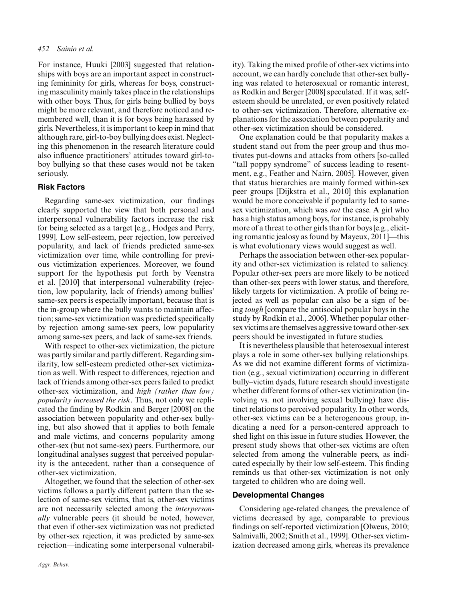## *452 Sainio et al.*

For instance, Huuki [2003] suggested that relationships with boys are an important aspect in constructing femininity for girls, whereas for boys, constructing masculinity mainly takes place in the relationships with other boys. Thus, for girls being bullied by boys might be more relevant, and therefore noticed and remembered well, than it is for boys being harassed by girls. Nevertheless, it is important to keep in mind that although rare, girl-to-boy bullying does exist. Neglecting this phenomenon in the research literature could also influence practitioners' attitudes toward girl-toboy bullying so that these cases would not be taken seriously.

# **Risk Factors**

Regarding same-sex victimization, our findings clearly supported the view that both personal and interpersonal vulnerability factors increase the risk for being selected as a target [e.g., Hodges and Perry, 1999]. Low self-esteem, peer rejection, low perceived popularity, and lack of friends predicted same-sex victimization over time, while controlling for previous victimization experiences. Moreover, we found support for the hypothesis put forth by Veenstra et al. [2010] that interpersonal vulnerability (rejection, low popularity, lack of friends) among bullies' same-sex peers is especially important, because that is the in-group where the bully wants to maintain affection; same-sex victimization was predicted specifically by rejection among same-sex peers, low popularity among same-sex peers, and lack of same-sex friends.

With respect to other-sex victimization, the picture was partly similar and partly different. Regarding similarity, low self-esteem predicted other-sex victimization as well. With respect to differences, rejection and lack of friends among other-sex peers failed to predict other-sex victimization, and *high (rather than low) popularity increased the risk*. Thus, not only we replicated the finding by Rodkin and Berger [2008] on the association between popularity and other-sex bullying, but also showed that it applies to both female and male victims, and concerns popularity among other-sex (but not same-sex) peers. Furthermore, our longitudinal analyses suggest that perceived popularity is the antecedent, rather than a consequence of other-sex victimization.

Altogether, we found that the selection of other-sex victims follows a partly different pattern than the selection of same-sex victims, that is, other-sex victims are not necessarily selected among the *interpersonally* vulnerable peers (it should be noted, however, that even if other-sex victimization was not predicted by other-sex rejection, it was predicted by same-sex rejection—indicating some interpersonal vulnerability). Taking the mixed profile of other-sex victims into account, we can hardly conclude that other-sex bullying was related to heterosexual or romantic interest, as Rodkin and Berger [2008] speculated. If it was, selfesteem should be unrelated, or even positively related to other-sex victimization. Therefore, alternative explanations for the association between popularity and other-sex victimization should be considered.

One explanation could be that popularity makes a student stand out from the peer group and thus motivates put-downs and attacks from others [so-called "tall poppy syndrome" of success leading to resentment, e.g., Feather and Nairn, 2005]. However, given that status hierarchies are mainly formed within-sex peer groups [Dijkstra et al., 2010] this explanation would be more conceivable if popularity led to samesex victimization, which was *not* the case. A girl who has a high status among boys, for instance, is probably more of a threat to other girls than for boys [e.g., eliciting romantic jealosy as found by Mayeux, 2011]—this is what evolutionary views would suggest as well.

Perhaps the association between other-sex popularity and other-sex victimization is related to saliency. Popular other-sex peers are more likely to be noticed than other-sex peers with lower status, and therefore, likely targets for victimization. A profile of being rejected as well as popular can also be a sign of being *tough* [compare the antisocial popular boys in the study by Rodkin et al., 2006]. Whether popular othersex victims are themselves aggressive toward other-sex peers should be investigated in future studies.

It is nevertheless plausible that heterosexual interest plays a role in some other-sex bullying relationships. As we did not examine different forms of victimization (e.g., sexual victimization) occurring in different bully–victim dyads, future research should investigate whether different forms of other-sex victimization (involving vs. not involving sexual bullying) have distinct relations to perceived popularity. In other words, other-sex victims can be a heterogeneous group, indicating a need for a person-centered approach to shed light on this issue in future studies. However, the present study shows that other-sex victims are often selected from among the vulnerable peers, as indicated especially by their low self-esteem. This finding reminds us that other-sex victimization is not only targeted to children who are doing well.

# **Developmental Changes**

Considering age-related changes, the prevalence of victims decreased by age, comparable to previous findings on self-reported victimization [Olweus, 2010; Salmivalli, 2002; Smith et al., 1999]. Other-sex victimization decreased among girls, whereas its prevalence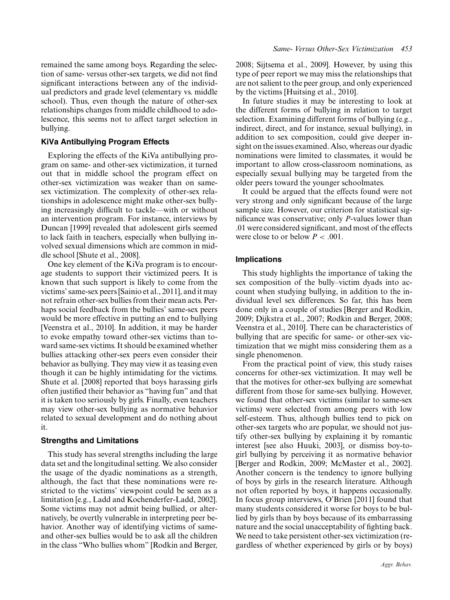remained the same among boys. Regarding the selection of same- versus other-sex targets, we did not find significant interactions between any of the individual predictors and grade level (elementary vs. middle school). Thus, even though the nature of other-sex relationships changes from middle childhood to adolescence, this seems not to affect target selection in bullying.

# **KiVa Antibullying Program Effects**

Exploring the effects of the KiVa antibullying program on same- and other-sex victimization, it turned out that in middle school the program effect on other-sex victimization was weaker than on samesex victimization. The complexity of other-sex relationships in adolescence might make other-sex bullying increasingly difficult to tackle—with or without an intervention program. For instance, interviews by Duncan [1999] revealed that adolescent girls seemed to lack faith in teachers, especially when bullying involved sexual dimensions which are common in middle school [Shute et al., 2008].

One key element of the KiVa program is to encourage students to support their victimized peers. It is known that such support is likely to come from the victims' same-sex peers [Sainio et al., 2011], and it may not refrain other-sex bullies from their mean acts. Perhaps social feedback from the bullies' same-sex peers would be more effective in putting an end to bullying [Veenstra et al., 2010]. In addition, it may be harder to evoke empathy toward other-sex victims than toward same-sex victims. It should be examined whether bullies attacking other-sex peers even consider their behavior as bullying. They may view it as teasing even though it can be highly intimidating for the victims. Shute et al. [2008] reported that boys harassing girls often justified their behavior as "having fun" and that it is taken too seriously by girls. Finally, even teachers may view other-sex bullying as normative behavior related to sexual development and do nothing about it.

# **Strengths and Limitations**

This study has several strengths including the large data set and the longitudinal setting. We also consider the usage of the dyadic nominations as a strength, although, the fact that these nominations were restricted to the victims' viewpoint could be seen as a limitation [e.g., Ladd and Kochenderfer-Ladd, 2002]. Some victims may not admit being bullied, or alternatively, be overtly vulnerable in interpreting peer behavior. Another way of identifying victims of sameand other-sex bullies would be to ask all the children in the class "Who bullies whom" [Rodkin and Berger, 2008; Sijtsema et al., 2009]. However, by using this type of peer report we may miss the relationships that are not salient to the peer group, and only experienced by the victims [Huitsing et al., 2010].

In future studies it may be interesting to look at the different forms of bullying in relation to target selection. Examining different forms of bullying (e.g., indirect, direct, and for instance, sexual bullying), in addition to sex composition, could give deeper insight on the issues examined. Also, whereas our dyadic nominations were limited to classmates, it would be important to allow cross-classroom nominations, as especially sexual bullying may be targeted from the older peers toward the younger schoolmates.

It could be argued that the effects found were not very strong and only significant because of the large sample size. However, our criterion for statistical significance was conservative; only *P*-values lower than .01 were considered significant, and most of the effects were close to or below  $P < .001$ .

# **Implications**

This study highlights the importance of taking the sex composition of the bully–victim dyads into account when studying bullying, in addition to the individual level sex differences. So far, this has been done only in a couple of studies [Berger and Rodkin, 2009; Dijkstra et al., 2007; Rodkin and Berger, 2008; Veenstra et al., 2010]. There can be characteristics of bullying that are specific for same- or other-sex victimization that we might miss considering them as a single phenomenon.

From the practical point of view, this study raises concerns for other-sex victimization. It may well be that the motives for other-sex bullying are somewhat different from those for same-sex bullying. However, we found that other-sex victims (similar to same-sex victims) were selected from among peers with low self-esteem. Thus, although bullies tend to pick on other-sex targets who are popular, we should not justify other-sex bullying by explaining it by romantic interest [see also Huuki, 2003], or dismiss boy-togirl bullying by perceiving it as normative behavior [Berger and Rodkin, 2009; McMaster et al., 2002]. Another concern is the tendency to ignore bullying of boys by girls in the research literature. Although not often reported by boys, it happens occasionally. In focus group interviews, O'Brien [2011] found that many students considered it worse for boys to be bullied by girls than by boys because of its embarrassing nature and the social unacceptability of fighting back. We need to take persistent other-sex victimization (regardless of whether experienced by girls or by boys)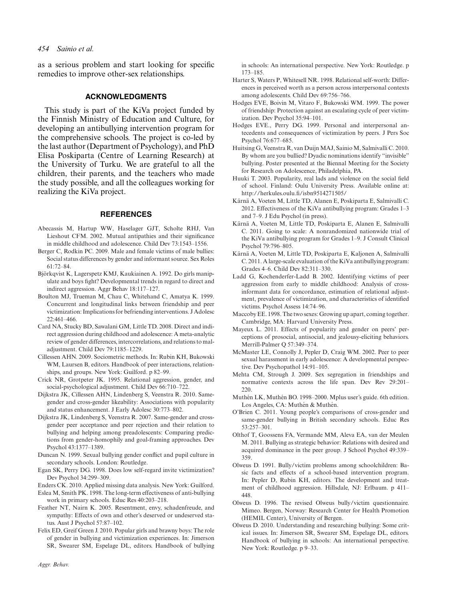as a serious problem and start looking for specific remedies to improve other-sex relationships.

# **ACKNOWLEDGMENTS**

This study is part of the KiVa project funded by the Finnish Ministry of Education and Culture, for developing an antibullying intervention program for the comprehensive schools. The project is co-led by the last author (Department of Psychology), and PhD Elisa Poskiparta (Centre of Learning Research) at the University of Turku. We are grateful to all the children, their parents, and the teachers who made the study possible, and all the colleagues working for realizing the KiVa project.

#### **REFERENCES**

- Abecassis M, Hartup WW, Haselager GJT, Scholte RHJ, Van Lieshout CFM. 2002. Mutual antipathies and their significance in middle childhood and adolescence. Child Dev 73:1543–1556.
- Berger C, Rodkin PC. 2009. Male and female victims of male bullies: Social status differences by gender and informant source. Sex Roles  $61.72 - 84$
- Björkqvist K, Lagerspetz KMJ, Kaukiainen A. 1992. Do girls manipulate and boys fight? Developmental trends in regard to direct and indirect aggression. Aggr Behav 18:117–127.
- Boulton MJ, Trueman M, Chau C, Whitehand C, Amatya K. 1999. Concurrent and longitudinal links between friendship and peer victimization: Implications for befriending interventions. J Adolesc 22:461–466.
- Card NA, Stucky BD, Sawalani GM, Little TD. 2008. Direct and indirect aggression during childhood and adolescence: A meta-analytic review of gender differences, intercorrelations, and relations to maladjustment. Child Dev 79:1185–1229.
- Cillessen AHN. 2009. Sociometric methods. In: Rubin KH, Bukowski WM, Laursen B, editors. Handbook of peer interactions, relationships, and groups. New York: Guilford. p 82–99.
- Crick NR, Grotpeter JK. 1995. Relational aggression, gender, and social-psychological adjustment. Child Dev 66:710–722.
- Dijkstra JK, Cillessen AHN, Lindenberg S, Veenstra R. 2010. Samegender and cross-gender likeability: Associations with popularity and status enhancement. J Early Adolesc 30:773–802.
- Dijkstra JK, Lindenberg S, Veenstra R. 2007. Same-gender and crossgender peer acceptance and peer rejection and their relation to bullying and helping among preadolescents: Comparing predictions from gender-homophily and goal-framing approaches. Dev Psychol 43:1377–1389.
- Duncan N. 1999. Sexual bullying gender conflict and pupil culture in secondary schools. London: Routledge.
- Egan SK, Perry DG. 1998. Does low self-regard invite victimization? Dev Psychol 34:299–309.

Enders CK. 2010. Applied missing data analysis. New York: Guilford.

Eslea M, Smith PK. 1998. The long-term effectiveness of anti-bullying work in primary schools. Educ Res 40:203–218.

- Feather NT, Nairn K. 2005. Resentment, envy, schadenfreude, and sympathy: Effects of own and other's deserved or undeserved status. Aust J Psychol 57:87–102.
- Felix ED, Greif Green J. 2010. Popular girls and brawny boys: The role of gender in bullying and victimization experiences. In: Jimerson SR, Swearer SM, Espelage DL, editors. Handbook of bullying

in schools: An international perspective. New York: Routledge. p 173–185.

- Harter S, Waters P, Whitesell NR. 1998. Relational self-worth: Differences in perceived worth as a person across interpersonal contexts among adolescents. Child Dev 69:756–766.
- Hodges EVE, Boivin M, Vitaro F, Bukowski WM. 1999. The power of friendship: Protection against an escalating cycle of peer victimization. Dev Psychol 35:94–101.
- Hodges EVE., Perry DG. 1999. Personal and interpersonal antecedents and consequences of victimization by peers. J Pers Soc Psychol 76:677–685.
- Huitsing G, Veenstra R, van Duijn MAJ, Sainio M, Salmivalli C. 2010. By whom are you bullied? Dyadic nominations identify "invisible" bullying. Poster presented at the Biennal Meeting for the Society for Research on Adolescence, Philadelphia, PA.
- Huuki T. 2003. Popularity, real lads and violence on the social field of school. Finland: Oulu University Press. Available online at: http://herkules.oulu.fi/isbn9514271505/
- Kärnä A, Voeten M, Little TD, Alanen E, Poskiparta E, Salmivalli C. 2012. Effectiveness of the KiVa antibullying program: Grades 1–3 and 7–9. J Edu Psychol (in press).
- Kärnä A, Voeten M, Little TD, Poskiparta E, Alanen E, Salmivalli C. 2011. Going to scale: A nonrandomized nationwide trial of the KiVa antibullying program for Grades 1–9. J Consult Clinical Psychol 79:796–805.
- Kärnä A, Voeten M, Little TD, Poskiparta E, Kaljonen A, Salmivalli C. 2011. A large-scale evaluation of the KiVa antibullying program: Grades 4–6. Child Dev 82:311–330.
- Ladd G, Kochenderfer-Ladd B. 2002. Identifying victims of peer aggression from early to middle childhood: Analysis of crossinformant data for concordance, estimation of relational adjustment, prevalence of victimization, and characteristics of identified victims. Psychol Assess 14:74–96.
- Maccoby EE. 1998. The two sexes: Growing up apart, coming together. Cambridge, MA: Harvard University Press.
- Mayeux L. 2011. Effects of popularity and gender on peers' perceptions of prosocial, antisocial, and jealousy-eliciting behaviors. Merrill-Palmer Q 57:349–374.
- McMaster LE, Connolly J, Pepler D, Craig WM. 2002. Peer to peer sexual harassment in early adolescence: A developmental perspective. Dev Psychopathol 14:91–105.
- Mehta CM, Strough J. 2009. Sex segregation in friendships and normative contexts across the life span. Dev Rev 29:201– 220.
- Muthén LK, Muthén BO. 1998–2000. Mplus user's guide. 6th edition. Los Angeles, CA: Muthén & Muthén.
- O'Brien C. 2011. Young people's comparisons of cross-gender and same-gender bullying in British secondary schools. Educ Res 53:257–301.
- Olthof T, Goossens FA, Vermande MM, Aleva EA, van der Meulen M. 2011. Bullying as strategic behavior: Relations with desired and acquired dominance in the peer group. J School Psychol 49:339– 359.
- Olweus D. 1991. Bully/victim problems among schoolchildren: Basic facts and effects of a school-based intervention program. In: Pepler D, Rubin KH, editors. The development and treatment of childhood aggression. Hillsdale, NJ: Erlbaum. p 411– 448.
- Olweus D. 1996. The revised Olweus bully/victim questionnaire. Mimeo. Bergen, Norway: Research Center for Health Promotion (HEMIL Center), University of Bergen.
- Olweus D. 2010. Understanding and researching bullying: Some critical issues. In: Jimerson SR, Swearer SM, Espelage DL, editors. Handbook of bullying in schools: An international perspective. New York: Routledge. p 9–33.